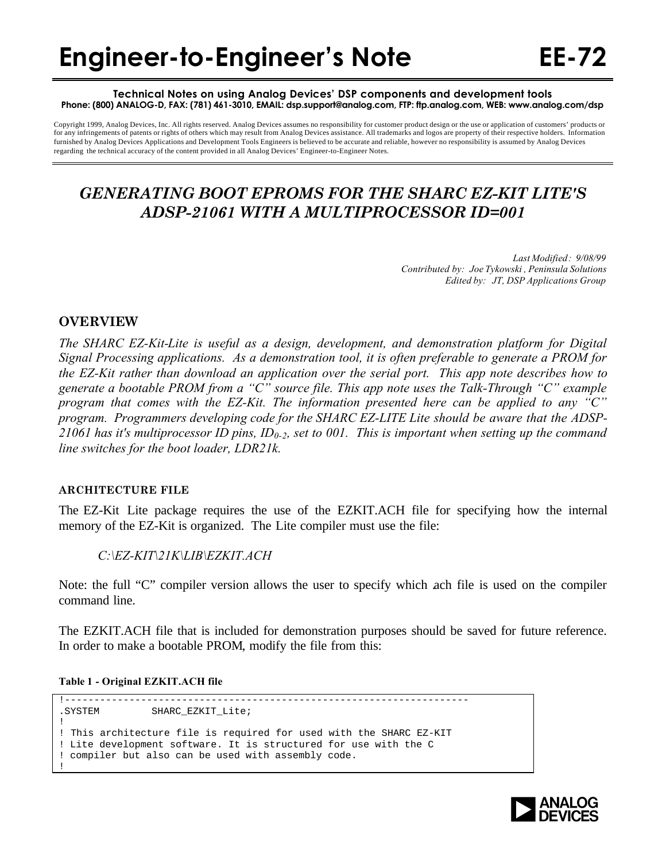#### **Technical Notes on using Analog Devices' DSP components and development tools Phone: (800) ANALOG-D, FAX: (781) 461-3010, EMAIL: dsp.support@analog.com, FTP: ftp.analog.com, WEB: www.analog.com/dsp**

Copyright 1999, Analog Devices, Inc. All rights reserved. Analog Devices assumes no responsibility for customer product design or the use or application of customers' products or for any infringements of patents or rights of others which may result from Analog Devices assistance. All trademarks and logos are property of their respective holders. Information furnished by Analog Devices Applications and Development Tools Engineers is believed to be accurate and reliable, however no responsibility is assumed by Analog Devices regarding the technical accuracy of the content provided in all Analog Devices' Engineer-to-Engineer Notes.

# *GENERATING BOOT EPROMS FOR THE SHARC EZ-KIT LITE'S ADSP-21061 WITH A MULTIPROCESSOR ID=001*

*Last Modified: 9/08/99 Contributed by: Joe Tykowski , Peninsula Solutions Edited by: JT, DSP Applications Group*

# **OVERVIEW**

*The SHARC EZ-Kit-Lite is useful as a design, development, and demonstration platform for Digital Signal Processing applications. As a demonstration tool, it is often preferable to generate a PROM for the EZ-Kit rather than download an application over the serial port. This app note describes how to generate a bootable PROM from a "C" source file. This app note uses the Talk-Through "C" example program that comes with the EZ-Kit. The information presented here can be applied to any "C" program. Programmers developing code for the SHARC EZ-LITE Lite should be aware that the ADSP-21061 has it's multiprocessor ID pins, ID0-2, set to 001. This is important when setting up the command line switches for the boot loader, LDR21k.*

### **ARCHITECTURE FILE**

The EZ-Kit Lite package requires the use of the EZKIT.ACH file for specifying how the internal memory of the EZ-Kit is organized. The Lite compiler must use the file:

# *C:\EZ-KIT\21K\LIB\EZKIT.ACH*

Note: the full "C" compiler version allows the user to specify which ach file is used on the compiler command line.

The EZKIT.ACH file that is included for demonstration purposes should be saved for future reference. In order to make a bootable PROM, modify the file from this:

**Table 1 - Original EZKIT.ACH file**

```
!---------------------------------------------------------------------
.SYSTEM SHARC_EZKIT_Lite;
!
! This architecture file is required for used with the SHARC EZ-KIT
! Lite development software. It is structured for use with the C
! compiler but also can be used with assembly code.
!
```
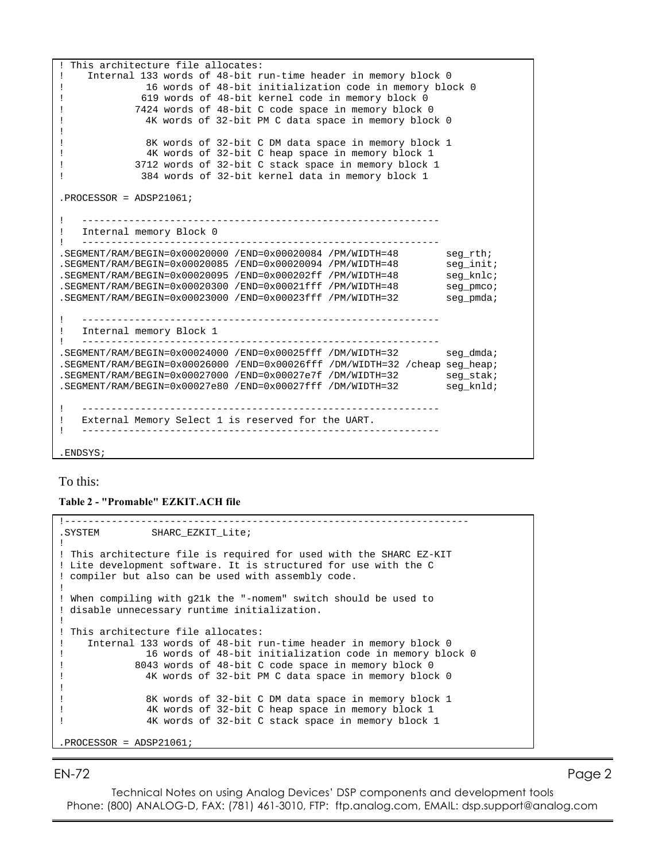```
! This architecture file allocates:
! Internal 133 words of 48-bit run-time header in memory block 0
! 16 words of 48-bit initialization code in memory block 0
! 619 words of 48-bit kernel code in memory block 0
! 7424 words of 48-bit C code space in memory block 0
! 4K words of 32-bit PM C data space in memory block 0
!
! 8K words of 32-bit C DM data space in memory block 1
! 4K words of 32-bit C heap space in memory block 1
! 3712 words of 32-bit C stack space in memory block 1
! 384 words of 32-bit kernel data in memory block 1
.PROCESSOR = ADSP21061;
! -------------------------------------------------------------
! Internal memory Block 0
! -------------------------------------------------------------
\texttt{.SEGMENT/RAM/BEGIN=0x00020000 / END=0x00020084 /PM/WIDTH=48} \texttt{seg_rth}; \\ \texttt{.SEGMENT/RAM/BEGIN=0x00020085 / END=0x00020094 /PM/WIDTH=48} \texttt{seg_init};\texttt{.SEGMENT/RAM/BEGIN=0x00020085} \texttt{/END=0x00020094} \texttt{/PM/WIDTH=48} \texttt{seq\_init}; \\ \texttt{.SEGMENT/RAM/BEGIN=0x00020095} \texttt{/END=0x0002022f} \texttt{/PM/WIDTH=48} \texttt{seq\_knlc} \texttt{;} \\.SEGMENT/RAM/BEGIN=0x00020095 /END=0x000202ff /PM/WIDTH=48.SEGMENT/RAM/BEGIN=0x00020300 /END=0x00021fff /PM/WIDTH=48 seg_pmco;
.SEGMENT/RAM/BEGIN=0x00023000 /END=0x00023fff /PM/WIDTH=32 seg_pmda;
! -------------------------------------------------------------
! Internal memory Block 1
! -------------------------------------------------------------
.SEGMENT/RAM/BEGIN=0x00024000 /END=0x00025fff /DM/WIDTH=32 seg_dmda;
.SEGMENT/RAM/BEGIN=0x00026000 /END=0x00026fff /DM/WIDTH=32 /cheap seg_heap;
.SEGMENT/RAM/BEGIN=0x00027000 /END=0x00027e7f /DM/WIDTH=32 seg_stak;
.SEGMENT/RAM/BEGIN=0x00027e80 /END=0x00027fff /DM/WIDTH=32 seg_knld;
! -------------------------------------------------------------
! External Memory Select 1 is reserved for the UART.
! -------------------------------------------------------------
```
.ENDSYS;

#### To this:

**Table 2 - "Promable" EZKIT.ACH file**

!--------------------------------------------------------------------- .SYSTEM SHARC\_EZKIT\_Lite; ! ! This architecture file is required for used with the SHARC EZ-KIT ! Lite development software. It is structured for use with the C ! compiler but also can be used with assembly code. ! ! When compiling with g21k the "-nomem" switch should be used to ! disable unnecessary runtime initialization. ! ! This architecture file allocates: ! Internal 133 words of 48-bit run-time header in memory block 0 ! 16 words of 48-bit initialization code in memory block 0 ! 8043 words of 48-bit C code space in memory block 0 ! 4K words of 32-bit PM C data space in memory block 0 ! ! 8K words of 32-bit C DM data space in memory block 1 ! 4K words of 32-bit C heap space in memory block 1 ! 4K words of 32-bit C stack space in memory block 1 .PROCESSOR = ADSP21061;

EN-72 Page 2

Technical Notes on using Analog Devices' DSP components and development tools Phone: (800) ANALOG-D, FAX: (781) 461-3010, FTP: ftp.analog.com, EMAIL: dsp.support@analog.com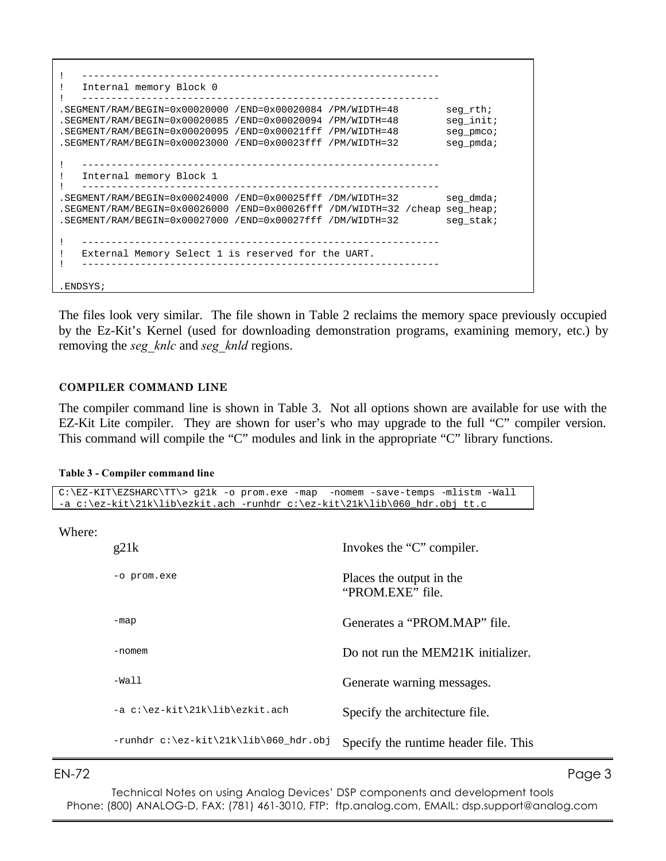```
! -------------------------------------------------------------
! Internal memory Block 0
! -------------------------------------------------------------
.SEGMENT/RAM/BEGIN=0x00020000 /END=0x00020084 /PM/WIDTH=48 seg_rth;
\texttt{.SEGMENT/RAM/BEGIN=0x00020085} \quad \texttt{/END=0x00020094} \quad \texttt{/PM/WDTH=48} \quad \texttt{seg\_init}; \\ \texttt{.SEGMENT/RAM/BEGIN=0x00020095} \quad \texttt{/END=0x00021fft} \quad \texttt{/PM/WDTH=48} \quad \texttt{seg\_pmco} \quad \texttt{3}.SEGMENT/RAM/BEGIN=0x00020095 /END=0x00021fft /PM/WIDTH=48.SEGMENT/RAM/BEGIN=0x00023000 /END=0x00023fff /PM/WIDTH=32 seg_pmda;
! -------------------------------------------------------------
! Internal memory Block 1
! -------------------------------------------------------------
.SEGMENT/RAM/BEGIN=0x00024000 /END=0x00025fff /DM/WIDTH=32 seg_dmda;
.SEGMENT/RAM/BEGIN=0x00026000 /END=0x00026fff /DM/WIDTH=32 /cheap seg_heap;
.SEGMENT/RAM/BEGIN=0x00027000 /END=0x00027fff /DM/WIDTH=32 seg_stak;
! -------------------------------------------------------------
! External Memory Select 1 is reserved for the UART.
! -------------------------------------------------------------
.ENDSYS;
```
The files look very similar. The file shown in Table 2 reclaims the memory space previously occupied by the Ez-Kit's Kernel (used for downloading demonstration programs, examining memory, etc.) by removing the *seg\_knlc* and *seg\_knld* regions.

### **COMPILER COMMAND LINE**

The compiler command line is shown in Table 3. Not all options shown are available for use with the EZ-Kit Lite compiler. They are shown for user's who may upgrade to the full "C" compiler version. This command will compile the "C" modules and link in the appropriate "C" library functions.

#### **Table 3 - Compiler command line**

C:\EZ-KIT\EZSHARC\TT\> g21k -o prom.exe -map -nomem -save-temps -mlistm -Wall -a c:\ez-kit\21k\lib\ezkit.ach -runhdr c:\ez-kit\21k\lib\060\_hdr.obj tt.c

| Where: |  |
|--------|--|
|        |  |

| g21k                                  | Invokes the "C" compiler.                    |
|---------------------------------------|----------------------------------------------|
| -o prom.exe                           | Places the output in the<br>"PROM.EXE" file. |
| -map                                  | Generates a "PROM MAP" file.                 |
| -nomem                                | Do not run the MEM21K initializer.           |
| $-Wa11$                               | Generate warning messages.                   |
| -a c:\ez-kit\21k\lib\ezkit.ach        | Specify the architecture file.               |
| -runhdr c:\ez-kit\21k\lib\060_hdr.obj | Specify the runtime header file. This        |

Technical Notes on using Analog Devices' DSP components and development tools Phone: (800) ANALOG-D, FAX: (781) 461-3010, FTP: ftp.analog.com, EMAIL: dsp.support@analog.com